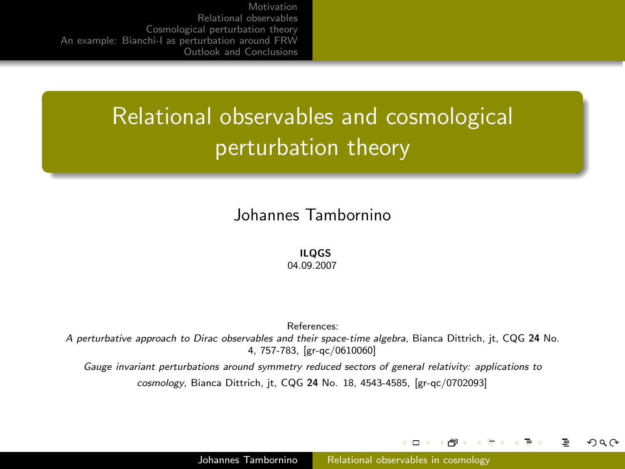# Relational observables and cosmological perturbation theory

#### Johannes Tambornino

#### ILQGS

04.09.2007

References: A perturbative approach to Dirac observables and their space-time algebra, Bianca Dittrich, jt, CQG 24 No. 4, 757-783, [gr-qc/0610060]

Gauge invariant perturbations around symmetry reduced sectors of general relativity: applications to cosmology, Bianca Dittrich, jt, CQG 24 No. 18, 4543-4585, [gr-qc/0702093]

4 D F

<span id="page-0-0"></span>+ n →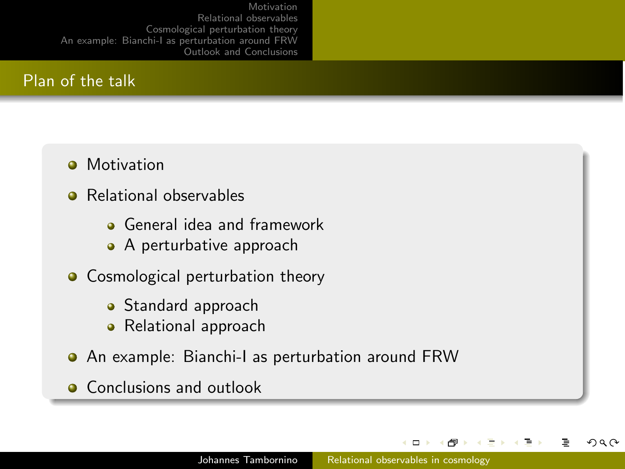## Plan of the talk

- **•** Motivation
- Relational observables
	- **Q** General idea and framework
	- A perturbative approach
- Cosmological perturbation theory
	- Standard approach
	- Relational approach
- An example: Bianchi-I as perturbation around FRW
- **Conclusions and outlook**

 $\Box$ 

つくい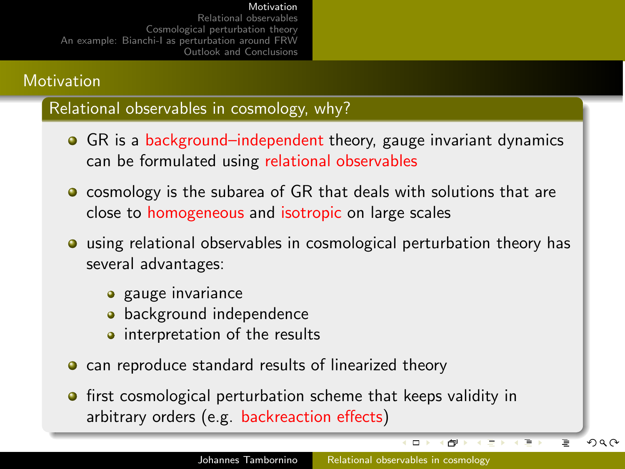### **Motivation**

Relational observables in cosmology, why?

- GR is a background-independent theory, gauge invariant dynamics can be formulated using relational observables
- **o** cosmology is the subarea of GR that deals with solutions that are close to homogeneous and isotropic on large scales
- using relational observables in cosmological perturbation theory has several advantages:
	- **a** gauge invariance
	- **•** background independence
	- interpretation of the results
- **o** can reproduce standard results of linearized theory
- <span id="page-2-0"></span>**•** first cosmological perturbation scheme that keeps validity in arbitrary orders (e.g. backreaction effects)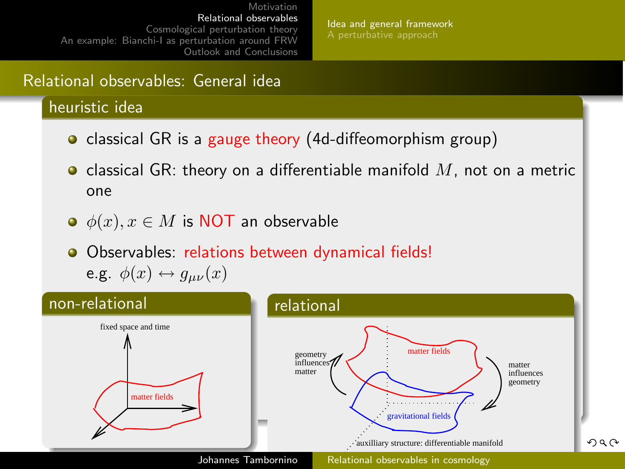[Idea and general framework](#page-3-0) [A perturbative approach](#page-9-0)

## Relational observables: General idea

heuristic idea

- classical GR is a gauge theory (4d-diffeomorphism group)
- classical GR: theory on a differentiable manifold  $M$ , not on a metric one
- $\bullet$   $\phi(x), x \in M$  is NOT an observable

<span id="page-3-0"></span>Observables: relations between dynamical fields! e.g.  $\phi(x) \leftrightarrow g_{\mu\nu}(x)$ 

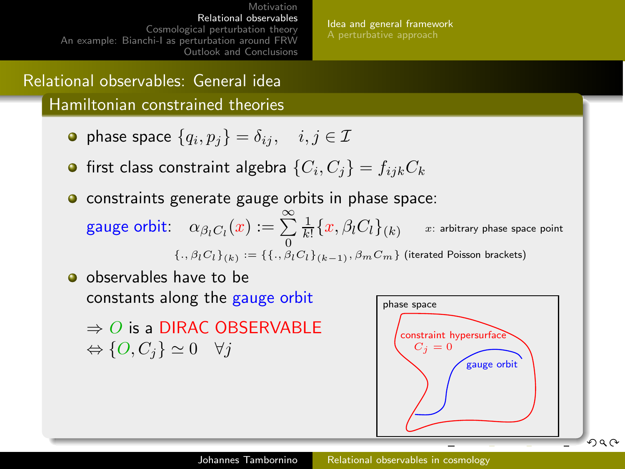[Idea and general framework](#page-3-0) [A perturbative approach](#page-9-0)

## Relational observables: General idea

Hamiltonian constrained theories

- phase space  $\{q_i,p_j\}=\delta_{ij},\quad i,j\in\mathcal{I}$
- first class constraint algebra  $\{C_i,C_j\}=f_{ijk}C_k$
- **o** constraints generate gauge orbits in phase space: gauge orbit:  $\alpha_{\beta_l C_l}(x) := \sum_{0}^{\infty} \frac{1}{k!}$  $\{.,{\beta}_l C_l\}_{(k)}:=\{\{.,{\beta}_l C_l\}_{(k-1)}, {\beta}_m C_m\}$  (iterated Poisson brackets)  $x$ : arbitrary phase space point

<span id="page-4-0"></span>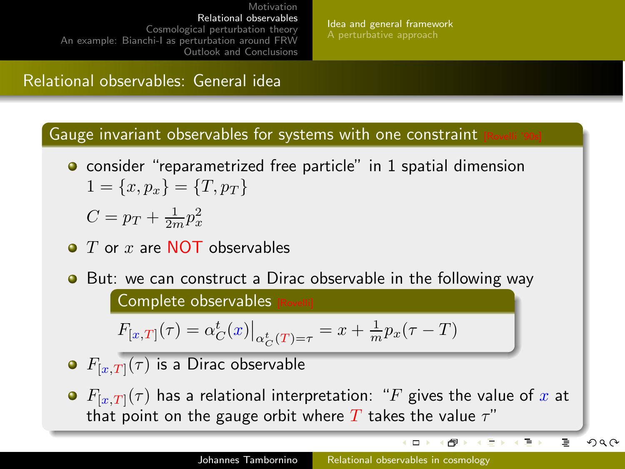[Idea and general framework](#page-3-0) [A perturbative approach](#page-9-0)

## Relational observables: General idea

Gauge invariant observables for systems with one constraint

**•** consider "reparametrized free particle" in 1 spatial dimension  $1 = \{x, p_x\} = \{T, p_T\}$ 

$$
C = p_T + \frac{1}{2m}p_x^2
$$

- $\bullet$  T or x are NOT observables
- **•** But: we can construct a Dirac observable in the following way

Complete observables

$$
F_{[x,T]}(\tau) = \alpha_C^t(x)|_{\alpha_C^t(T) = \tau} = x + \frac{1}{m}p_x(\tau - T)
$$

- $F_{[x,T]}(\tau)$  is a Dirac observable
- $F_{[x,T]}(\tau)$  has a relational interpretation: "F gives the value of x at that point on the gauge orbit where T takes the value  $\tau$ "

Þ

医下

イロト イラト イヨト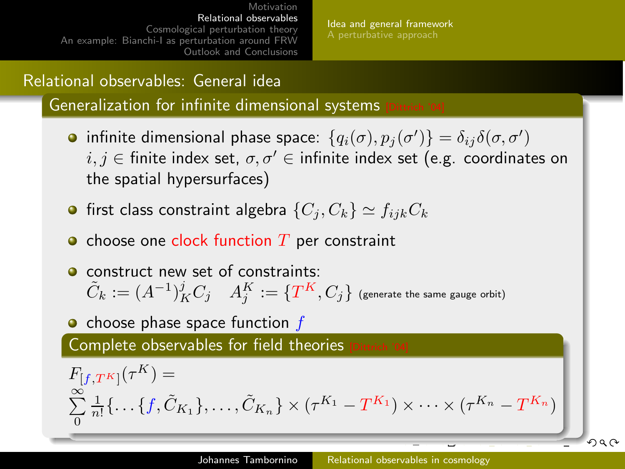[Idea and general framework](#page-3-0) [A perturbative approach](#page-9-0)

## Relational observables: General idea

Generalization for infinite dimensional systems

- infinite dimensional phase space:  $\{q_i(\sigma),p_j(\sigma')\}=\delta_{ij}\delta(\sigma,\sigma')$  $i, j \in$  finite index set,  $\sigma, \sigma' \in$  infinite index set (e.g. coordinates on the spatial hypersurfaces)
- **•** first class constraint algebra  $\{C_i, C_k\} \simeq f_{ijk}C_k$
- $\bullet$  choose one clock function  $T$  per constraint
- **O** construct new set of constraints:  $\tilde C_k := (A^{-1})^j_K C_j \quad A^K_j := \{ T^K, C_j \}$  (generate the same gauge orbit)

 $\bullet$  choose phase space function  $f$ 

Complete observables for field theories

$$
F_{\left[f,T^K\right]}(\tau^K) = \sum_{0}^{\infty} \frac{1}{n!} \left\{ \dots \left\{ f, \tilde{C}_{K_1} \right\}, \dots, \tilde{C}_{K_n} \right\} \times \left( \tau^{K_1} - T^{K_1} \right) \times \dots \times \left( \tau^{K_n} - T^{K_n} \right) \right\}
$$

<span id="page-6-0"></span> $QQ$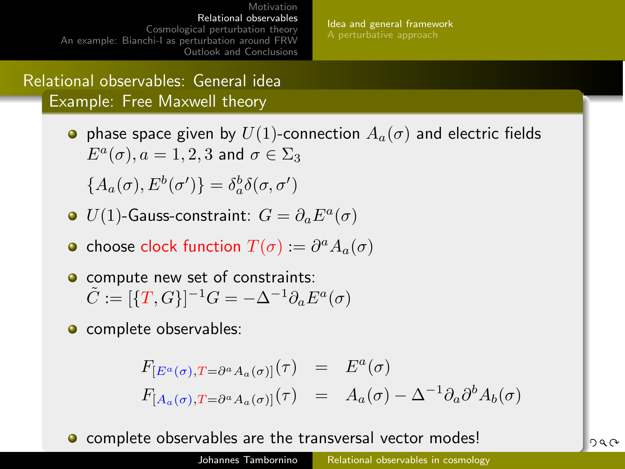[Idea and general framework](#page-3-0) [A perturbative approach](#page-9-0)

Relational observables: General idea Example: Free Maxwell theory

> **•** phase space given by  $U(1)$ -connection  $A_a(\sigma)$  and electric fields  $E^a(\sigma), a = 1, 2, 3$  and  $\sigma \in \Sigma_3$

 ${A_a(\sigma),E^b(\sigma')}=\delta^b_a\delta(\sigma,\sigma')$ 

- $U(1)$ -Gauss-constraint:  $G=\partial_a E^a(\sigma)$
- choose clock function  $T(\sigma) := \partial^a A_a(\sigma)$
- **O** compute new set of constraints:  $\tilde{C} := [\{T,G\}]^{-1}G = -\Delta^{-1}\partial_a E^a(\sigma)$
- **o** complete observables:

<span id="page-7-0"></span>
$$
F_{[E^a(\sigma), T = \partial^a A_a(\sigma)]}(\tau) = E^a(\sigma)
$$
  

$$
F_{[A_a(\sigma), T = \partial^a A_a(\sigma)]}(\tau) = A_a(\sigma) - \Delta^{-1} \partial_a \partial^b A_b(\sigma)
$$

• complete observables are the transversal ve[cto](#page-6-0)[r](#page-8-0) [m](#page-6-0)[od](#page-7-0)[es](#page-8-0)[!](#page-2-0)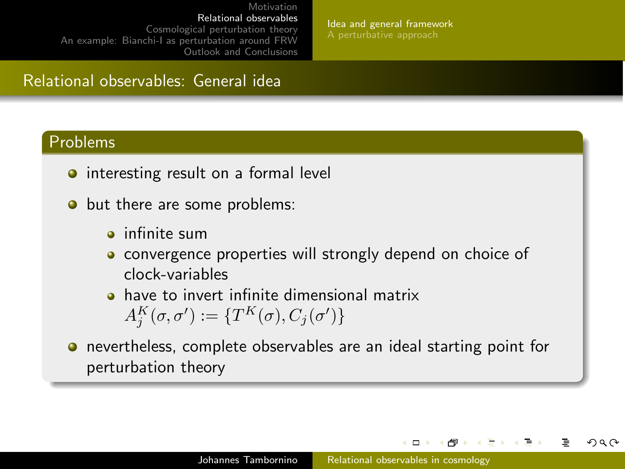[Idea and general framework](#page-3-0) [A perturbative approach](#page-9-0)

## Relational observables: General idea

#### Problems

- interesting result on a formal level
- but there are some problems:
	- **a** infinite sum
	- **•** convergence properties will strongly depend on choice of clock-variables
	- **•** have to invert infinite dimensional matrix  $A_j^K(\sigma, \sigma') := \{ T^K(\sigma), C_j(\sigma') \}$
- **•** nevertheless, complete observables are an ideal starting point for perturbation theory

<span id="page-8-0"></span> $\Box$ 

つひひ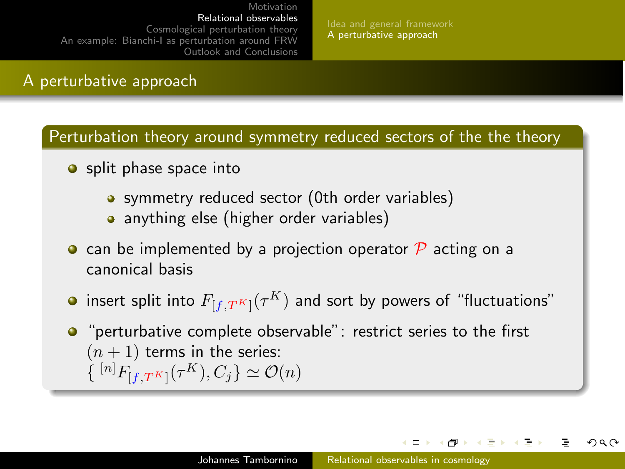[Idea and general framework](#page-3-0) [A perturbative approach](#page-9-0)

### A perturbative approach

Perturbation theory around symmetry reduced sectors of the the theory

- $\bullet$  split phase space into
	- symmetry reduced sector (0th order variables)
	- anything else (higher order variables)
- can be implemented by a projection operator  $\mathcal P$  acting on a canonical basis
- insert split into  $F_{[f,T^K]}(\tau^K)$  and sort by powers of "fluctuations"
- "perturbative complete observable": restrict series to the first  $(n + 1)$  terms in the series:  $\{ [n]_{F_{[f,T^K]}}(\tau^K), C_j \} \simeq \mathcal{O}(n)$

<span id="page-9-0"></span> $\Box$ 

つひひ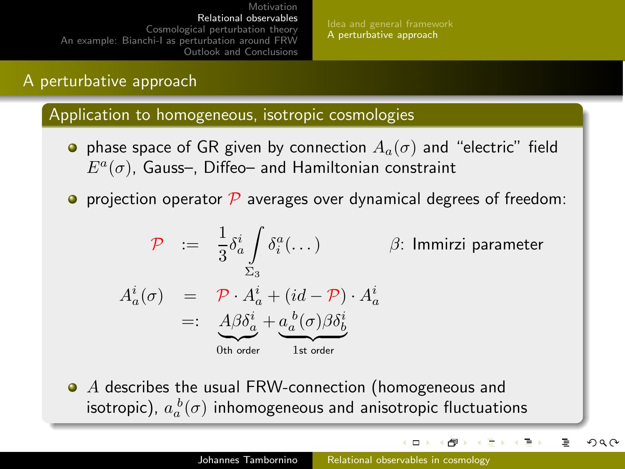#### A perturbative approach

#### Application to homogeneous, isotropic cosmologies

- **•** phase space of GR given by connection  $A_a(\sigma)$  and "electric" field  $E^a(\sigma)$ , Gauss–, Diffeo– and Hamiltonian constraint
- **P** projection operator  $\mathcal{P}$  averages over dynamical degrees of freedom:

$$
\mathcal{P} := \frac{1}{3} \delta_a^i \int_{\Sigma_3} \delta_a^a (\dots) \qquad \beta: \text{ Immirzi parameter}
$$
\n
$$
A_a^i(\sigma) = \mathcal{P} \cdot A_a^i + (id - \mathcal{P}) \cdot A_a^i
$$
\n
$$
=: \underbrace{A \beta \delta_a^i}_{\text{Other}} + \underbrace{a_a^b(\sigma) \beta \delta_b^i}_{\text{1st order}}
$$

• A describes the usual FRW-connection (homogeneous and isotropic),  $a_a^{\ b}(\sigma)$  inhomogeneous and anisotropic fluctuations

<span id="page-10-0"></span>**ロト (何) (三** 

 $\sim$ 医骨下的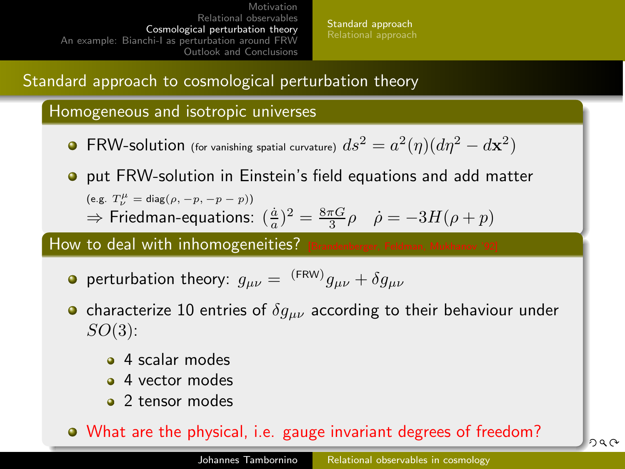[Standard approach](#page-11-0) [Relational approach](#page-14-0)

## Standard approach to cosmological perturbation theory

#### Homogeneous and isotropic universes

- $\mathsf{FRW}\text{-}\mathsf{solution}$  (for vanishing spatial curvature)  $ds^2 = a^2(\eta)(d\eta^2 d\mathbf{x}^2)$
- **•** put FRW-solution in Einstein's field equations and add matter (e.g.  $T^{\mu}_{\nu} = \text{diag}(\rho, -p, -p-p)$ )  $\Rightarrow$  Friedman-equations:  $(\frac{\dot{a}}{a})^2 = \frac{8\pi G}{3} \rho$   $\dot{\rho} = -3H(\rho + p)$

#### How to deal with inhomogeneities?

- perturbation theory:  $g_{\mu\nu} = \, {}^{(\rm{FRW})}g_{\mu\nu} + \delta g_{\mu\nu}$
- characterize 10 entries of  $\delta g_{\mu\nu}$  according to their behaviour under  $SO(3)$ :
	- 4 scalar modes
	- 4 vector modes
	- 2 tensor modes

## <span id="page-11-0"></span>What are the physical, i.e. gauge invariant [de](#page-10-0)[gre](#page-12-0)[e](#page-10-0)[s o](#page-11-0)[f](#page-12-0) [f](#page-10-0)[re](#page-11-0)[e](#page-13-0)[d](#page-14-0)[o](#page-10-0)[m](#page-11-0)[?](#page-22-0)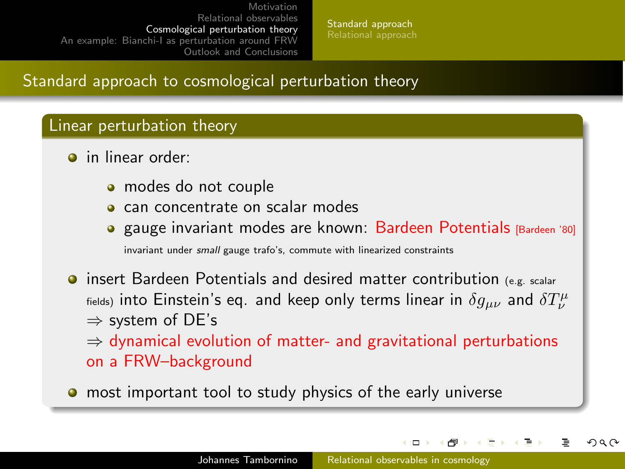[Standard approach](#page-11-0) [Relational approach](#page-14-0)

## Standard approach to cosmological perturbation theory

#### Linear perturbation theory

- **o** in linear order:
	- modes do not couple
	- can concentrate on scalar modes
	- gauge invariant modes are known: Bardeen Potentials [Bardeen '80] invariant under small gauge trafo's, commute with linearized constraints
- **O** insert Bardeen Potentials and desired matter contribution (e.g. scalar  $_{\rm fields)}$  into Einstein's eq. and keep only terms linear in  $\delta g_{\mu\nu}$  and  $\delta T^{\mu}_{\nu}$ ⇒ system of DE's  $\Rightarrow$  dynamical evolution of matter- and gravitational perturbations on a FRW–background
- **•** most important tool to study physics of the early universe

<span id="page-12-0"></span>( ロ ) ( 何 )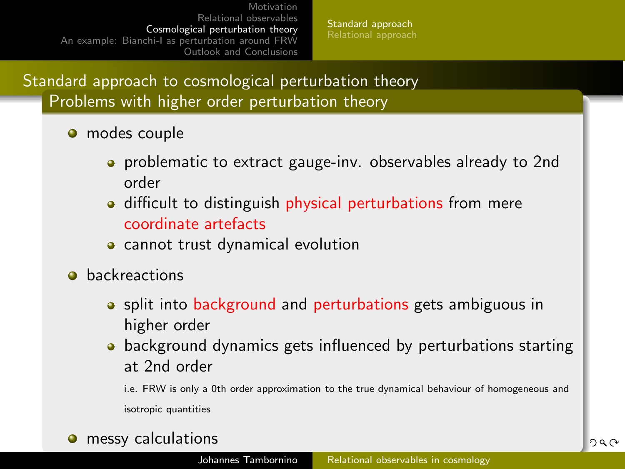[Standard approach](#page-11-0) [Relational approach](#page-14-0)

Standard approach to cosmological perturbation theory Problems with higher order perturbation theory

- **o** modes couple
	- **•** problematic to extract gauge-inv. observables already to 2nd order
	- difficult to distinguish physical perturbations from mere coordinate artefacts
	- **•** cannot trust dynamical evolution
- **o** backreactions
	- split into background and perturbations gets ambiguous in higher order
	- background dynamics gets influenced by perturbations starting at 2nd order

<span id="page-13-0"></span>i.e. FRW is only a 0th order approximation to the true dynamical behaviour of homogeneous and isotropic quantities

**o** messy calculations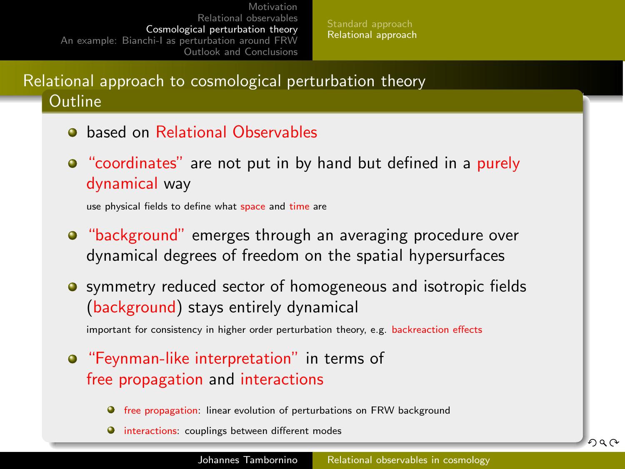[Standard approach](#page-11-0) [Relational approach](#page-14-0)

Relational approach to cosmological perturbation theory **Outline** 

- **a** based on Relational Observables
- "coordinates" are not put in by hand but defined in a purely dynamical way

use physical fields to define what space and time are

- "background" emerges through an averaging procedure over dynamical degrees of freedom on the spatial hypersurfaces
- **•** symmetry reduced sector of homogeneous and isotropic fields (background) stays entirely dynamical

<span id="page-14-0"></span>important for consistency in higher order perturbation theory, e.g. backreaction effects

- **•** "Feynman-like interpretation" in terms of free propagation and interactions
	- $\bullet$  free propagation: linear evolution of perturbations on FRW background
	- $\bullet$  interactions: couplings between different modes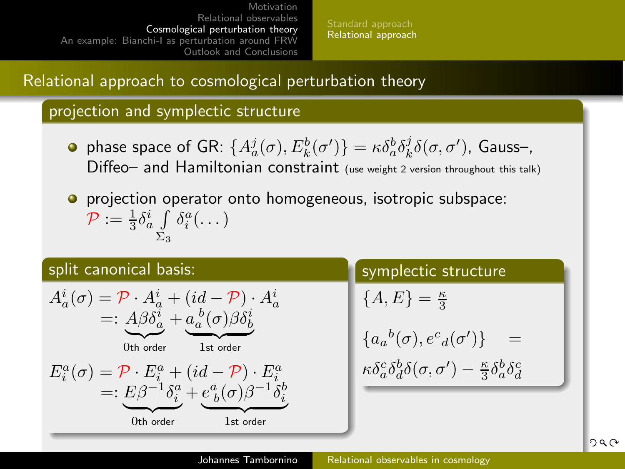[Standard approach](#page-11-0) [Relational approach](#page-14-0)

## Relational approach to cosmological perturbation theory

#### projection and symplectic structure

- phase space of GR:  $\{A^j_a(\sigma),E^b_k(\sigma')\} = \kappa \delta^b_a \delta^j_k \delta(\sigma,\sigma')$ , Gauss–, Diffeo– and Hamiltonian constraint (use weight 2 version throughout this talk)
- **•** projection operator onto homogeneous, isotropic subspace:  $\mathcal{P}:=\frac{1}{3}\delta^i_a\int$  $\Sigma_3$  $\delta_i^a(\dots)$

1st order

#### split canonical basis:

$$
\begin{array}{lll} A_a^i(\sigma) = \mathcal{P} \cdot A_a^i + (id-\mathcal{P}) \cdot A_a^i \\ =: & \underbrace{A\beta\delta_a^i}_{\text{0th order}} + \underbrace{a_a^b(\sigma)\beta\delta_b^i}_{\text{1st order}} \\ & \stackrel{E_a^a(\sigma) = \mathcal{P} \cdot E_i^a + (id-\mathcal{P}) \cdot E_i^a}{\text{1st order}} \\ =: & E\beta^{-1}\delta_i^a + e_b^a(\sigma)\beta^{-1}\delta_i^i \end{array}
$$

 $0$ th order

#### symplectic structure

$$
\{A,E\}=\tfrac{\kappa}{3}
$$

$$
\begin{array}{ll} \{a_a{}^b(\sigma),e^c{}_d(\sigma')\}&=&\\[1mm] &\kappa\delta^c_a\delta^b_d\delta(\sigma,\sigma')-\frac{\kappa}{3}\delta^b_a\delta^c_d \end{array}
$$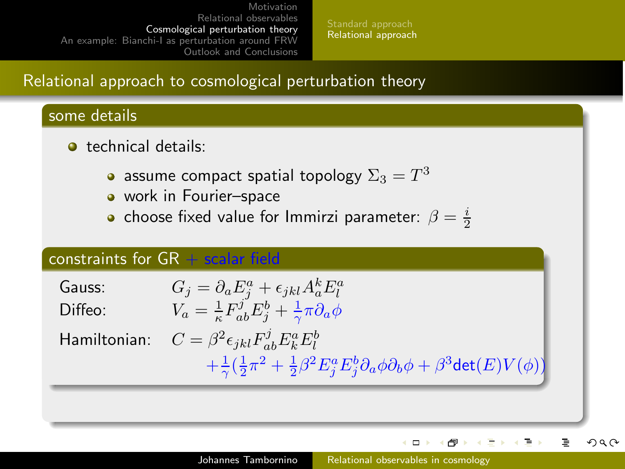[Standard approach](#page-11-0) [Relational approach](#page-14-0)

## Relational approach to cosmological perturbation theory

#### some details

- **o** technical details:
	- assume compact spatial topology  $\Sigma_3=T^3$
	- work in Fourier-space
	- choose fixed value for Immirzi parameter:  $\beta = \frac{i}{2}$

#### constraints for  $GR + scalar$  field

| Gauss:  | $G_j = \partial_a E_i^a + \epsilon_{jkl} A_a^k E_l^a$                                                           |
|---------|-----------------------------------------------------------------------------------------------------------------|
| Diffeo: | $V_a = \frac{1}{\kappa} F^j_{ab} E^b_j + \frac{1}{\gamma} \pi \partial_a \phi$                                  |
|         | Hamiltonian: $C = \beta^2 \epsilon_{jkl} F_{ab}^j E_k^a E_l^b$                                                  |
|         | $+\frac{1}{2}(\frac{1}{2}\pi^2+\frac{1}{2}\beta^2E_i^aE_i^b\partial_a\phi\partial_b\phi+\beta^3\det(E)V(\phi))$ |

<span id="page-16-0"></span>**(ロ) (母)** 

医下 э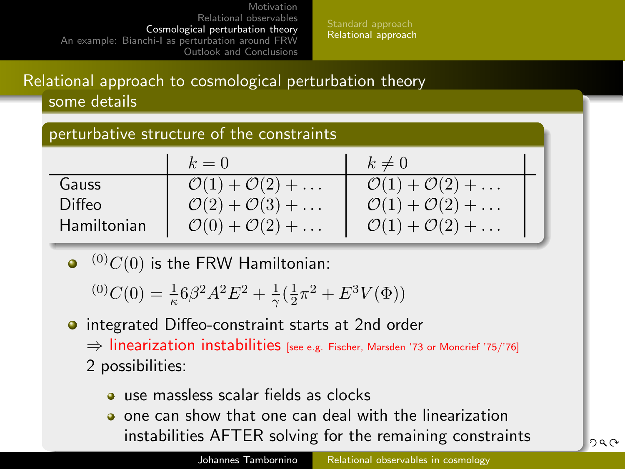[Standard approach](#page-11-0) [Relational approach](#page-14-0)

## Relational approach to cosmological perturbation theory some details

#### perturbative structure of the constraints

|             | $k=0$                                      | $k\neq 0$                                 |
|-------------|--------------------------------------------|-------------------------------------------|
| Gauss       | $\mathcal{O}(1)+\mathcal{O}(2)+\ldots$     | $\mathcal{O}(1)+\mathcal{O}(2)+\ldots$    |
| Diffeo      | $\mathcal{O}(2) + \mathcal{O}(3) + \ldots$ | $\mathcal{O}(1) + \mathcal{O}(2) + \dots$ |
| Hamiltonian | $\mathcal{O}(0) + \mathcal{O}(2) + \dots$  | $\mathcal{O}(1)+\mathcal{O}(2)+\ldots$    |

 $\bullet$  (0)C(0) is the FRW Hamiltonian:

<span id="page-17-0"></span> ${}^{(0)}C(0) = \frac{1}{\kappa} 6\beta^2 A^2 E^2 + \frac{1}{\gamma} (\frac{1}{2}\pi^2 + E^3 V(\Phi))$ 

- **o** integrated Diffeo-constraint starts at 2nd order ⇒ linearization instabilities [see e.g. Fischer, Marsden '73 or Moncrief '75/'76] 2 possibilities:
	- use massless scalar fields as clocks
	- one can show that one can deal with the linearization instabilities AFTER solving for the re[ma](#page-16-0)i[nin](#page-18-0)[g](#page-16-0) [c](#page-17-0)[o](#page-18-0)[ns](#page-13-0)[t](#page-14-0)[r](#page-21-0)[ai](#page-22-0)[n](#page-10-0)[ts](#page-11-0)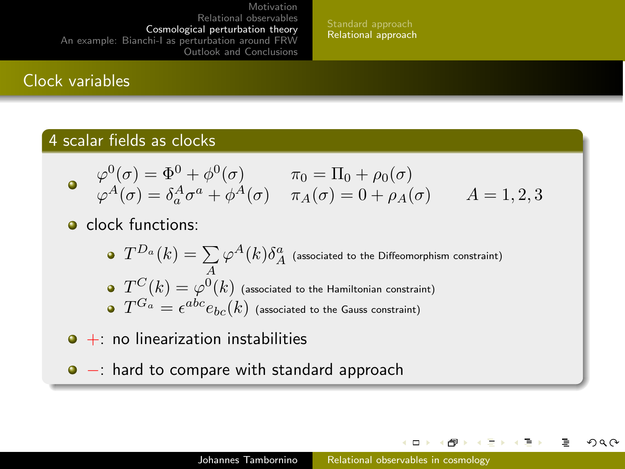[Standard approach](#page-11-0) [Relational approach](#page-14-0)

### Clock variables

#### 4 scalar fields as clocks

$$
\begin{array}{ll}\n\varphi^0(\sigma) = \Phi^0 + \phi^0(\sigma) & \pi_0 = \Pi_0 + \rho_0(\sigma) \\
\varphi^A(\sigma) = \delta_a^A \sigma^a + \phi^A(\sigma) & \pi_A(\sigma) = 0 + \rho_A(\sigma) & A = 1, 2, 3\n\end{array}
$$

- **o** clock functions:
	- $T^{D_a}(k)=\sum\limits_A\varphi^A(k)\delta^a_A\;$  (associated to the Diffeomorphism constraint)
	- $T^C(k)=\varphi^0(k)$  (associated to the Hamiltonian constraint)
	- $T^{G_{a}}=\epsilon^{abc}e_{bc}(k)$  (associated to the Gauss constraint)
- $\bullet$  + no linearization instabilities
- −: hard to compare with standard approach

<span id="page-18-0"></span>**K ロ ト K 何 ト K ヨ ト** 

つくい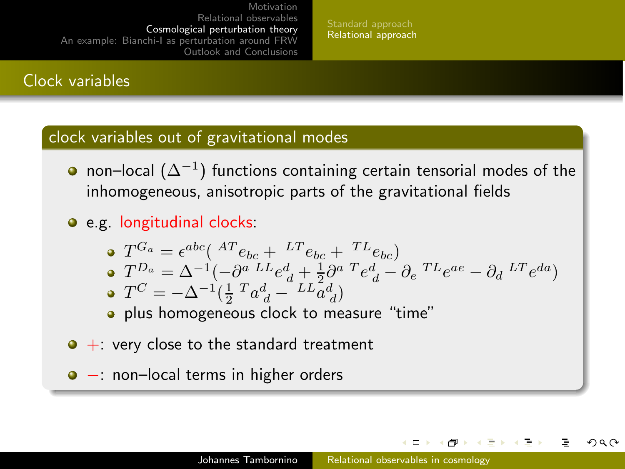[Standard approach](#page-11-0) [Relational approach](#page-14-0)

## Clock variables

#### clock variables out of gravitational modes

- non–local  $(\Delta^{-1})$  functions containing certain tensorial modes of the inhomogeneous, anisotropic parts of the gravitational fields
- e.g. longitudinal clocks:

$$
\bullet \quad T^{G_a} = \epsilon^{abc} \left( \begin{array}{cc} AT_{bc} + LT_{bc} + TL_{bc} \\ T^{D_a} & \lambda^{-1} \end{array} \right)
$$

$$
\begin{array}{ll}\n\bullet & T^{D_a} = \Delta^{-1}(-\partial^{a} L^L e^d_{d} + \frac{1}{2}\partial^{a} {}^{T}e^d_{d} - \partial_e {}^{TL} e^{ae} - \partial_d {}^{LT} e^{da}) \\
\bullet & T^C = -\Delta^{-1}(\frac{1}{2} {}^{T} a^d_{d} - {}^{LL} a^d_{d})\n\end{array}
$$

 $T^C = -\Delta^{-1}(\frac{1}{2}^T a_{d}^d - \frac{LL_{d}^- d}{d})$ plus homogeneous clock to measure "time"

- $\bullet$  +: very close to the standard treatment
- −: non–local terms in higher orders

 $\Box$ 

つひひ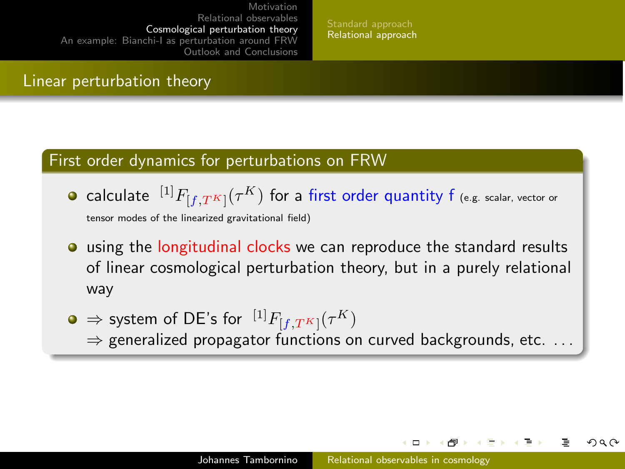[Standard approach](#page-11-0) [Relational approach](#page-14-0)

#### Linear perturbation theory

#### First order dynamics for perturbations on FRW

- calculate  $\;{}^{[1]}F_{[f,T^K]}(\tau^K)$  for a first order quantity f (e.g. scalar, vector or tensor modes of the linearized gravitational field)
- using the longitudinal clocks we can reproduce the standard results of linear cosmological perturbation theory, but in a purely relational way
- $\Rightarrow$  system of DE's for  $\ ^{[1]}F_{[f,T^K]}(\tau^K)$ 
	- $\Rightarrow$  generalized propagator functions on curved backgrounds, etc. ...

 $\Box$ 

つへへ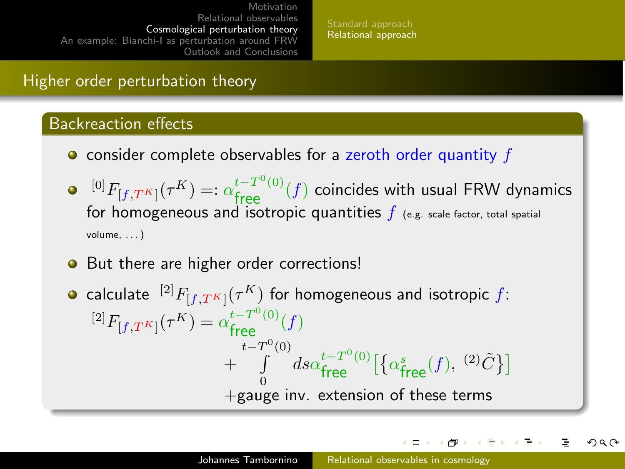[Standard approach](#page-11-0) [Relational approach](#page-14-0)

## Higher order perturbation theory

#### Backreaction effects

- $\bullet$  consider complete observables for a zeroth order quantity  $f$
- $\mathbb{E}^{[0]}F_{[f,T^K]}(\tau^K) =: \alpha_{\textrm{free}}^{t-T^0(0)}(f)$  coincides with usual FRW dynamics for homogeneous and isotropic quantities  $f$  (e.g. scale factor, total spatial volume, . . . )
- But there are higher order corrections!
- calculate  $\ ^{[2]}F_{[f, T^K]}(\tau^K)$  for homogeneous and isotropic  $f$ :  ${}^{[2]}F_{[f,T^K]}(\tau^K) = \alpha_{\text{free}}^{t-T^0(0)}(f)$  $^{+}$  $t-T^0$  $\int_0^{\mathsf{U}}$  $\mathbf{0}$  $ds\alpha_{\textsf{free}}^{t-T^0(0)}\big[\big\{\alpha_{\textsf{free}}^s(f),\, {}^{(2)}\tilde{C}\big\}\big]$  $+$ gauge inv. extension of these terms

<span id="page-21-0"></span>イロト イ押 トイコ トイヨト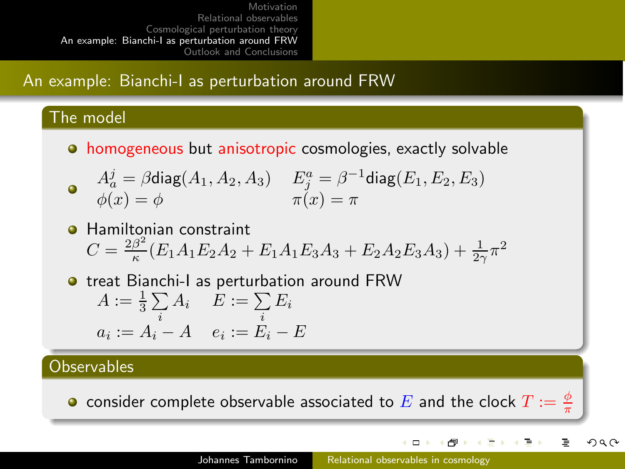## An example: Bianchi-I as perturbation around FRW

#### The model

**•** homogeneous but anisotropic cosmologies, exactly solvable

$$
\begin{array}{ll}\n\mathbf{A}_a^j = \beta \text{diag}(A_1, A_2, A_3) & E_j^a = \beta^{-1} \text{diag}(E_1, E_2, E_3) \\
\phi(x) = \phi & \pi(x) = \pi\n\end{array}
$$

- **Hamiltonian constraint**  $C=\frac{2\beta^2}{\kappa}$  $\frac{\beta^2}{\kappa}(E_1A_1E_2A_2 + E_1A_1E_3A_3 + E_2A_2E_3A_3) + \frac{1}{2\gamma}\pi^2$
- **o** treat Bianchi-I as perturbation around FRW  $A:=\frac{1}{3}\sum$  $\sum_i A_i$   $E := \sum_i E_i$  $a_i := A_i - A \quad e_i := E_i - E$

#### **Observables**

consider complete observable associated to  $E$  and the clock  $T:=\frac{\phi}{\pi}$ 

<span id="page-22-0"></span>ロト イラト イミト イミト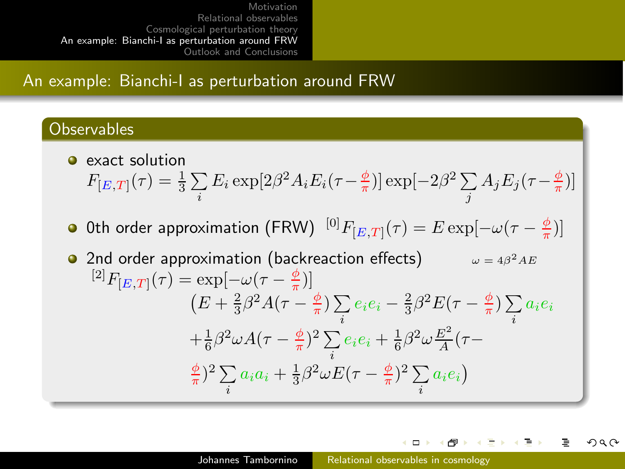## An example: Bianchi-I as perturbation around FRW

#### **Observables**

- **e** exact solution  $F_{[E,T]}(\tau) = \frac{1}{3}\sum$  $\sum_i E_i \exp[2\beta^2 A_i E_i(\tau - \frac{\phi}{\pi})] \exp[-2\beta^2 \sum_j$  $\sum_j A_j E_j(\tau - \frac{\phi}{\pi})$
- 0th order approximation (FRW)  $^{[0]}F_{[E,T]}(\tau)=E\exp[-\omega(\tau-\frac{\phi}{\pi})]$
- **•** 2nd order approximation (backreaction effects)  $\omega = 4\beta^2 AE$  ${}^{[2]}F_{[E,T]}(\tau) = \exp[-\omega(\tau - \frac{\phi}{\pi})]$  $(E+\frac{2}{3}\beta^2A(\tau-\frac{\phi}{\pi})\sum$  $\sum_i e_i e_i - \frac{2}{3} \beta^2 E(\tau - \frac{\phi}{\pi}) \sum_i$  $\sum_i a_i e_i$  $+\frac{1}{6}\beta^2\omega A(\tau-\frac{\phi}{\pi})^2\sum$  $\sum_i e_i e_i + \frac{1}{6} \beta^2 \omega \frac{E^2}{A}$  $\frac{E^-}{A}(\tau (\frac{\phi}{\pi})^2 \sum$  $\sum_i a_i a_i + \frac{1}{3} \beta^2 \omega E(\tau - \frac{\phi}{\pi})^2 \sum_i$  $\sum_i a_i e_i$

 $\Box$ + n →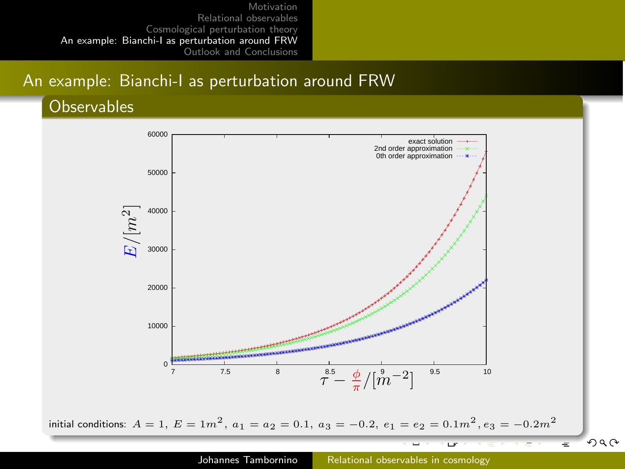## An example: Bianchi-I as perturbation around FRW

#### **Observables**

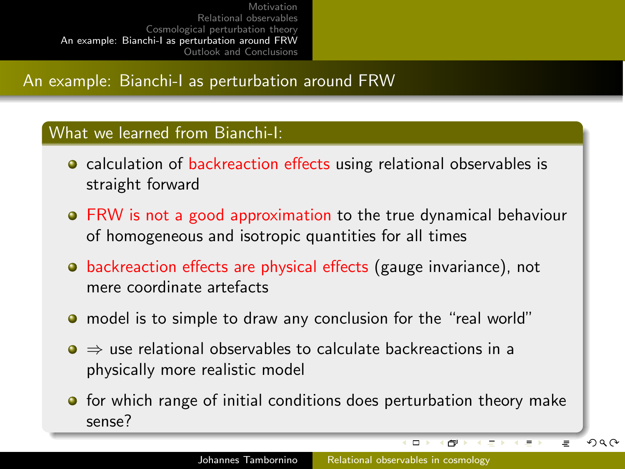## An example: Bianchi-I as perturbation around FRW

#### What we learned from Bianchi-I:

- **o** calculation of backreaction effects using relational observables is straight forward
- FRW is not a good approximation to the true dynamical behaviour of homogeneous and isotropic quantities for all times
- backreaction effects are physical effects (gauge invariance), not mere coordinate artefacts
- model is to simple to draw any conclusion for the "real world"
- $\bullet \Rightarrow$  use relational observables to calculate backreactions in a physically more realistic model
- **•** for which range of initial conditions does perturbation theory make sense?

 $\Box$ 

n.